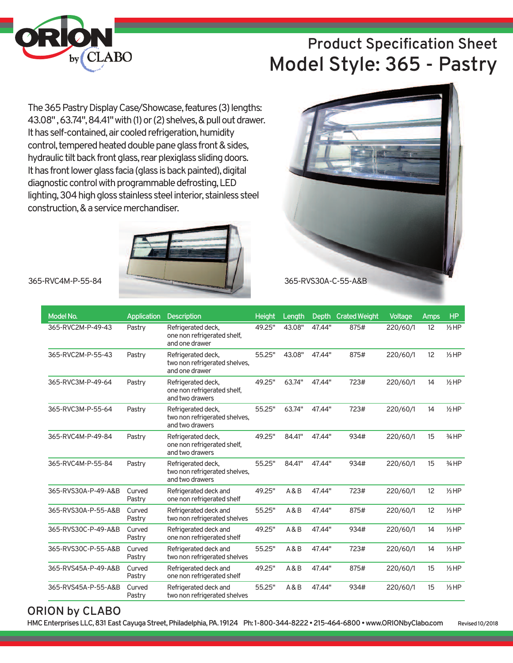

# **Product Specification Sheet Model Style: 365 - Pastry**

The 365 Pastry Display Case/Showcase, features (3) lengths: 43.08", 63.74", 84.41" with (1) or (2) shelves, & pull out drawer. It has self-contained, air cooled refrigeration, humidity control, tempered heated double pane glass front & sides, hydraulic tilt back front glass, rear plexiglass sliding doors. It has front lower glass facia (glass is back painted), digital diagnostic control with programmable defrosting, LED lighting, 304 high gloss stainless steel interior, stainless steel construction, & a service merchandiser.



### **ORION by CLABO**

**HMCEnterprisesLLC,831EastCayugaStreet,Philadelphia,PA. 19124 Ph: 1-800-344-8222•215-464-6800•www.ORIONbyClabo.com Revised10/2018**

365-RVS45A-P-55-A&B Curved Refrigerated deck and 55.25" A&B 47.44" 934# 220/60/1 15 ⅓HP<br>Pastry two non refrigerated shelves

two non refrigerated shelves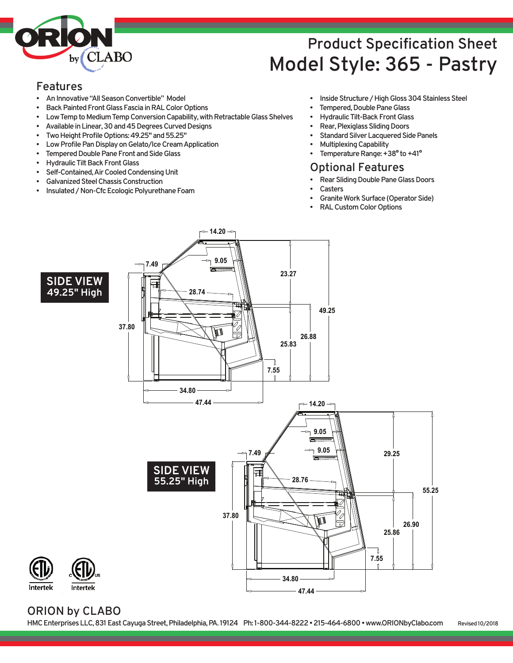

# **Product Specification Sheet Model Style: 365 - Pastry**

#### **Features**

- **AnInnovative"AllSeasonConvertible" Model**
- **Back Painted Front Glass Fascia in RAL Color Options**
- **Low Temp to Medium Temp Conversion Capability, with Retractable Glass Shelves**
- Available in Linear, 30 and 45 Degrees Curved Designs
- Two Height Profile Options: 49.25" and 55.25"
- **Low Profile Pan Display on Gelato/Ice Cream Application**
- **Tempered Double Pane Front and Side Glass**
- **Hydraulic Tilt Back Front Glass**
- **Self-Contained,AirCooledCondensingUnit**
- **GalvanizedSteelChassisConstruction**
- **Insulated/Non-CfcEcologicPolyurethaneFoam**
- **Inside Structure / High Gloss 304 Stainless Steel**
- **Tempered, Double Pane Glass**
- **Hydraulic Tilt-Back Front Glass**
- **Rear, Plexiglass Sliding Doors**
- **Standard Silver Lacquered Side Panels**
- **MultiplexingCapability**
- **Femperature Range: +38° to +41°**

#### **Optional Features**

- **Rear Sliding Double Pane Glass Doors** 
	- **Casters**
- **Granite Work Surface (Operator Side)**
- **RALCustomColorOptions**



#### **ORION by CLABO**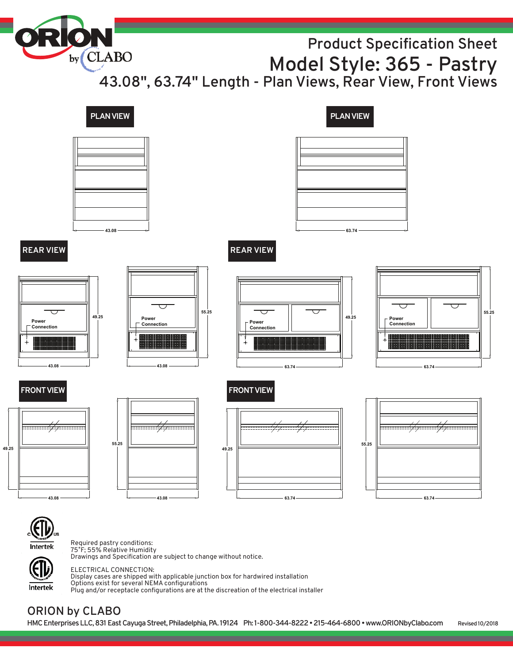by CLABO **Product Specification Sheet Model Style: 365 - Pastry 43.08" , 63.74" Length - Plan Views, Rear View, Front Views**





**49.25**

Required pastry conditions: 75˚F; 55% Relative Humidity Drawings and Specification are subject to change without notice.

Intertek

ELECTRICAL CONNECTION: Display cases are shipped with applicable junction box for hardwired installation Options exist for several NEMA configurations Plug and/or receptacle configurations are at the discreation of the electrical installer

# **ORION by CLABO**

**HMCEnterprisesLLC,831EastCayugaStreet,Philadelphia,PA. 19124 Ph: 1-800-344-8222•215-464-6800•www.ORIONbyClabo.com Revised10/2018**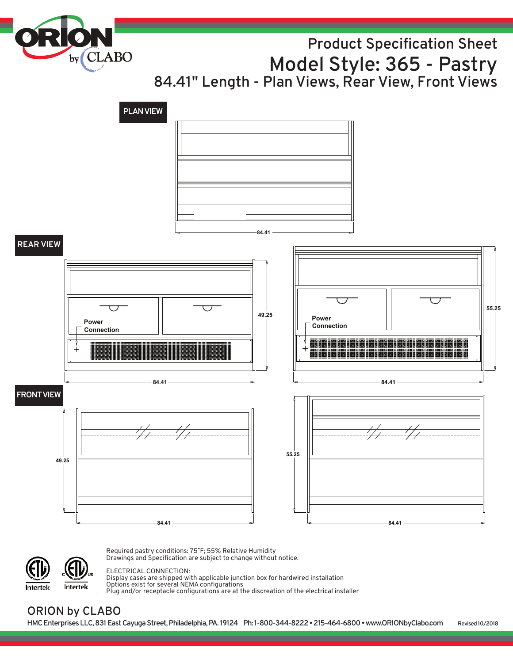by<sub>(CLABO</sub> **Product Specification Sheet Model Style: 365 - Pastry 84.41" Length - Plan Views, Rear View, Front Views**





Required pastry conditions: 75˚F; 55% Relative Humidity Drawings and Specification are subject to change without notice.

#### ELECTRICAL CONNECTION:

Display cases are shipped with applicable junction box for hardwired installation Options exist for several NEMA configurations Plug and/or receptacle configurations are at the discreation of the electrical installer

### **ORION by CLABO**